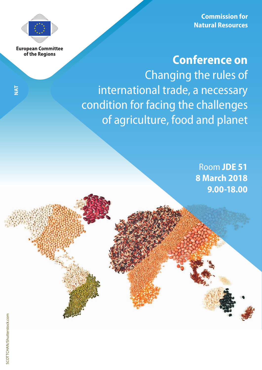**Commission for Natural Resources**



**European Committee** of the Regions

**NAT**

# **Conference on**

Changing the rules of international trade, a necessary condition for facing the challenges of agriculture, food and planet

> Room **JDE 51 8 March 2018 9.00-18.00**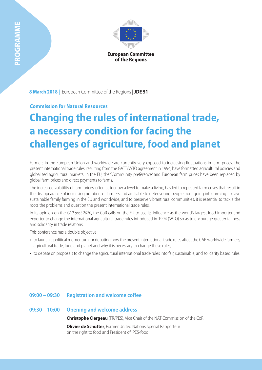

**8 March 2018 |** European Committee of the Regions | **JDE 51**

# **Commission for Natural Resources**

# **Changing the rules of international trade, a necessary condition for facing the challenges of agriculture, food and planet**

Farmers in the European Union and worldwide are currently very exposed to increasing fluctuations in farm prices. The present international trade rules, resulting from the GATT/WTO agreement in 1994, have formatted agricultural policies and globalised agricultural markets. In the EU, the "Community preference" and European farm prices have been replaced by global farm prices and direct payments to farms.

The increased volatility of farm prices, often at too low a level to make a living, has led to repeated farm crises that result in the disappearance of increasing numbers of farmers and are liable to deter young people from going into farming. To save sustainable family farming in the EU and worldwide, and to preserve vibrant rural communities, it is essential to tackle the roots the problems and question the present international trade rules.

In its opinion on the *CAP post 2020*, the CoR calls on the EU to use its influence as the world's largest food importer and exporter to change the international agricultural trade rules introduced in 1994 (WTO) so as to encourage greater fairness and solidarity in trade relations.

This conference has a double objective:

- to launch a political momentum for debating how the present international trade rules affect the CAP, worldwide farmers, agricultural trade, food and planet and why it is necessary to change these rules;
- to debate on proposals to change the agricultural international trade rules into fair, sustainable, and solidarity based rules.

# **09:00 – 09:30 Registration and welcome coffee**

# **09:30 – 10:00 Opening and welcome address**

**Christophe Clergeau** (FR/PES), Vice Chair of the NAT Commission of the CoR

**Olivier de Schutter**, Former United Nations Special Rapporteur on the right to food and President of IPES-food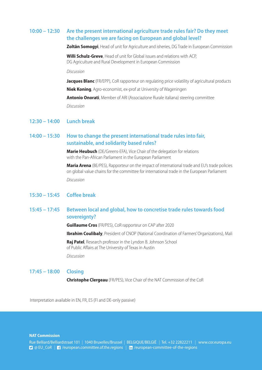# **10:00 – 12:30 Are the present international agriculture trade rules fair? Do they meet the challenges we are facing on European and global level?**

**Zoltân Somogyi**, Head of unit for Agriculture and isheries, DG Trade in European Commission

**Willi Schulz-Greve**, Head of unit for Global issues and relations with ACP, DG Agriculture and Rural Development in European Commission

#### *Discussion*

**Jacques Blanc** (FR/EPP), CoR rapporteur on regulating price volatility of agricultural products **Niek Koning**, Agro-economist, ex-prof at University of Wageningen **Antonio Onorati**, Member of ARI (Associazione Rurale italiana) steering committee *Discussion* 

### **12:30 – 14:00 Lunch break**

# **14:00 – 15:30 How to change the present international trade rules into fair, sustainable, and solidarity based rules?**

**Marie Heubuch** (DE/Greens-EFA), Vice Chair of the delegation for relations with the Pan-African Parliament in the European Parliament

**Maria Arena** (BE/PES), Rapporteur on the impact of international trade and EU's trade policies on global value chains for the committee for international trade in the European Parliament *Discussion* 

# **15:30 – 15:45 Coffee break**

# **15:45 – 17:45 Between local and global, how to concretise trade rules towards food sovereignty?**

**Guillaume Cros** (FR/PES), CoR rapporteur on CAP after 2020

**Ibrahim Coulibaly**, President of CNOP (National Coordination of Farmers' Organizations), Mali

**Raj Patel**, Research professor in the Lyndon B. Johnson School of Public Affairs at The University of Texas in Austin

*Discussion* 

## **17:45 – 18:00 Closing**

**Christophe Clergeau** (FR/PES), Vice Chair of the NAT Commission of the CoR

Interpretation available in EN, FR, ES (FI and DE-only passive)